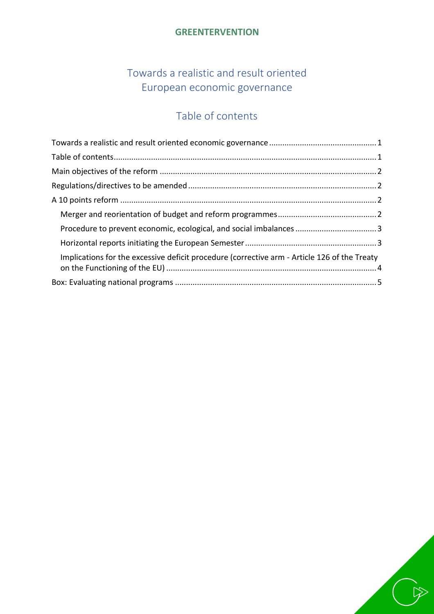## **GREENTERVENTION**

# Towards a realistic and result oriented European economic governance

# Table of contents

<span id="page-0-1"></span><span id="page-0-0"></span>

| Implications for the excessive deficit procedure (corrective arm - Article 126 of the Treaty |  |
|----------------------------------------------------------------------------------------------|--|
|                                                                                              |  |

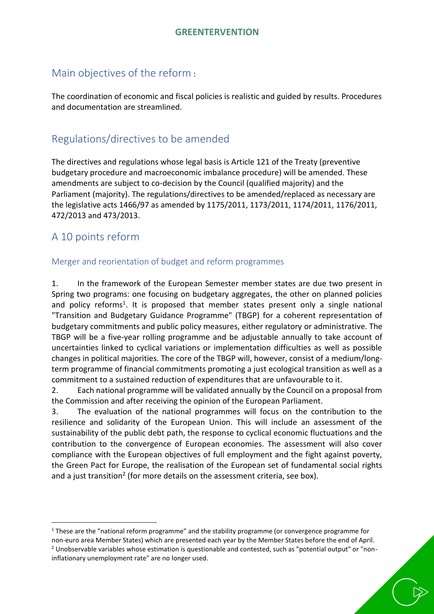## <span id="page-1-0"></span>Main objectives of the reform :

The coordination of economic and fiscal policies is realistic and guided by results. Procedures and documentation are streamlined.

# <span id="page-1-1"></span>Regulations/directives to be amended

The directives and regulations whose legal basis is Article 121 of the Treaty (preventive budgetary procedure and macroeconomic imbalance procedure) will be amended. These amendments are subject to co-decision by the Council (qualified majority) and the Parliament (majority). The regulations/directives to be amended/replaced as necessary are the legislative acts 1466/97 as amended by 1175/2011, 1173/2011, 1174/2011, 1176/2011, 472/2013 and 473/2013.

# <span id="page-1-2"></span>A 10 points reform

 $\overline{a}$ 

#### <span id="page-1-3"></span>Merger and reorientation of budget and reform programmes

1. In the framework of the European Semester member states are due two present in Spring two programs: one focusing on budgetary aggregates, the other on planned policies and policy reforms<sup>1</sup>. It is proposed that member states present only a single national "Transition and Budgetary Guidance Programme" (TBGP) for a coherent representation of budgetary commitments and public policy measures, either regulatory or administrative. The TBGP will be a five-year rolling programme and be adjustable annually to take account of uncertainties linked to cyclical variations or implementation difficulties as well as possible changes in political majorities. The core of the TBGP will, however, consist of a medium/longterm programme of financial commitments promoting a just ecological transition as well as a commitment to a sustained reduction of expenditures that are unfavourable to it.

2. Each national programme will be validated annually by the Council on a proposal from the Commission and after receiving the opinion of the European Parliament.

3. The evaluation of the national programmes will focus on the contribution to the resilience and solidarity of the European Union. This will include an assessment of the sustainability of the public debt path, the response to cyclical economic fluctuations and the contribution to the convergence of European economies. The assessment will also cover compliance with the European objectives of full employment and the fight against poverty, the Green Pact for Europe, the realisation of the European set of fundamental social rights and a just transition<sup>2</sup> (for more details on the assessment criteria, see box).

<sup>&</sup>lt;sup>1</sup> These are the "national reform programme" and the stability programme (or convergence programme for non-euro area Member States) which are presented each year by the Member States before the end of April. <sup>2</sup> Unobservable variables whose estimation is questionable and contested, such as "potential output" or "noninflationary unemployment rate" are no longer used.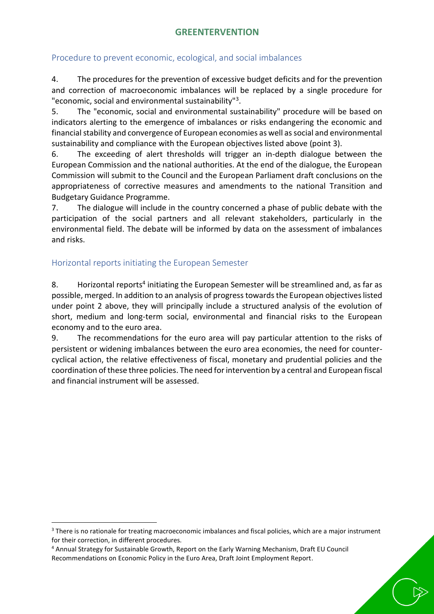#### <span id="page-2-0"></span>Procedure to prevent economic, ecological, and social imbalances

4. The procedures for the prevention of excessive budget deficits and for the prevention and correction of macroeconomic imbalances will be replaced by a single procedure for "economic, social and environmental sustainability"<sup>3</sup> .

5. The "economic, social and environmental sustainability" procedure will be based on indicators alerting to the emergence of imbalances or risks endangering the economic and financial stability and convergence of European economies as well as social and environmental sustainability and compliance with the European objectives listed above (point 3).

6. The exceeding of alert thresholds will trigger an in-depth dialogue between the European Commission and the national authorities. At the end of the dialogue, the European Commission will submit to the Council and the European Parliament draft conclusions on the appropriateness of corrective measures and amendments to the national Transition and Budgetary Guidance Programme.

7. The dialogue will include in the country concerned a phase of public debate with the participation of the social partners and all relevant stakeholders, particularly in the environmental field. The debate will be informed by data on the assessment of imbalances and risks.

#### <span id="page-2-1"></span>Horizontal reports initiating the European Semester

 $\overline{a}$ 

8. Horizontal reports<sup>4</sup> initiating the European Semester will be streamlined and, as far as possible, merged. In addition to an analysis of progress towards the European objectives listed under point 2 above, they will principally include a structured analysis of the evolution of short, medium and long-term social, environmental and financial risks to the European economy and to the euro area.

9. The recommendations for the euro area will pay particular attention to the risks of persistent or widening imbalances between the euro area economies, the need for countercyclical action, the relative effectiveness of fiscal, monetary and prudential policies and the coordination of these three policies. The need for intervention by a central and European fiscal and financial instrument will be assessed.

<sup>&</sup>lt;sup>3</sup> There is no rationale for treating macroeconomic imbalances and fiscal policies, which are a major instrument for their correction, in different procedures.

<sup>4</sup> Annual Strategy for Sustainable Growth, Report on the Early Warning Mechanism, Draft EU Council Recommendations on Economic Policy in the Euro Area, Draft Joint Employment Report.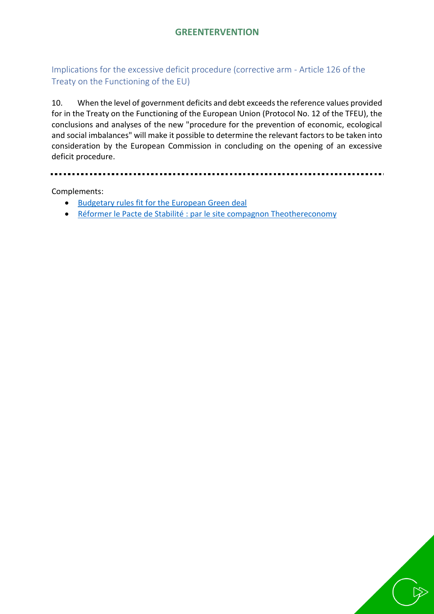### <span id="page-3-0"></span>Implications for the excessive deficit procedure (corrective arm - Article 126 of the Treaty on the Functioning of the EU)

10. When the level of government deficits and debt exceeds the reference values provided for in the Treaty on the Functioning of the European Union (Protocol No. 12 of the TFEU), the conclusions and analyses of the new "procedure for the prevention of economic, ecological and social imbalances" will make it possible to determine the relevant factors to be taken into consideration by the European Commission in concluding on the opening of an excessive deficit procedure.

Complements:

- **[Budgetary rules fit for the European Green deal](https://greentervention.files.wordpress.com/2022/02/quality-note-eng.pdf)**
- [Réformer le Pacte de Stabilité](https://theothereconomy.com/fr/propositions/reformer-le-pacte-de-stabilite-et-de-croissance/) : par le site compagnon Theothereconomy